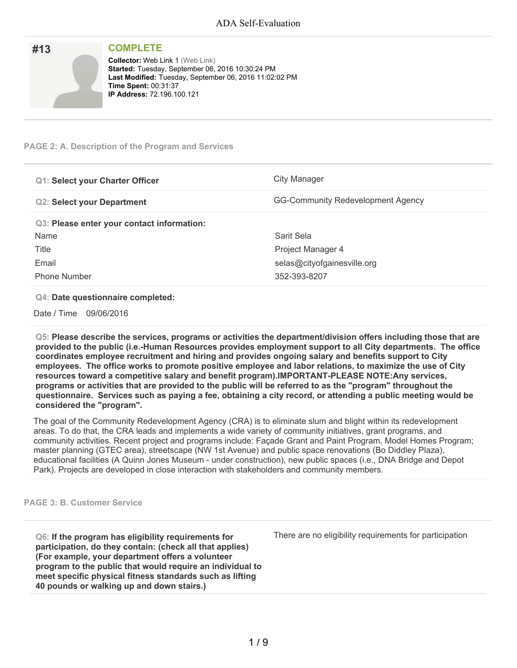| #13 | <b>COMPLETE</b>                                                                                                                                                                                                           |
|-----|---------------------------------------------------------------------------------------------------------------------------------------------------------------------------------------------------------------------------|
|     | <b>Collector: Web Link 1 (Web Link)</b><br>Started: Tuesday, September 06, 2016 10:30:24 PM<br>Last Modified: Tuesday, September 06, 2016 11:02:02 PM<br><b>Time Spent: 00:31:37</b><br><b>IP Address: 72.196.100.121</b> |

### **PAGE 2: A. Description of the Program and Services**

| <b>Q1: Select your Charter Officer</b>     | City Manager                             |
|--------------------------------------------|------------------------------------------|
| <b>Q2: Select your Department</b>          | <b>GG-Community Redevelopment Agency</b> |
| Q3: Please enter your contact information: |                                          |
| Name                                       | Sarit Sela                               |
| Title                                      | Project Manager 4                        |
| Email                                      | selas@cityofgainesville.org              |
| <b>Phone Number</b>                        | 352-393-8207                             |

### **Q4: Date questionnaire completed:**

Date / Time 09/06/2016

**Q5: Please describe the services, programs or activities the department/division offers including those that are provided to the public (i.e.-Human Resources provides employment support to all City departments. The office coordinates employee recruitment and hiring and provides ongoing salary and benefits support to City employees. The office works to promote positive employee and labor relations, to maximize the use of City resources toward a competitive salary and benefit program).IMPORTANT-PLEASE NOTE:Any services,** programs or activities that are provided to the public will be referred to as the "program" throughout the questionnaire. Services such as paying a fee, obtaining a city record, or attending a public meeting would be **considered the "program".**

The goal of the Community Redevelopment Agency (CRA) is to eliminate slum and blight within its redevelopment areas. To do that, the CRA leads and implements a wide variety of community initiatives, grant programs, and community activities. Recent project and programs include: Façade Grant and Paint Program, Model Homes Program; master planning (GTEC area), streetscape (NW 1st Avenue) and public space renovations (Bo Diddley Plaza), educational facilities (A Quinn Jones Museum - under construction), new public spaces (i.e., DNA Bridge and Depot Park). Projects are developed in close interaction with stakeholders and community members.

#### **PAGE 3: B. Customer Service**

**Q6: If the program has eligibility requirements for participation, do they contain: (check all that applies) (For example, your department offers a volunteer program to the public that would require an individual to meet specific physical fitness standards such as lifting 40 pounds or walking up and down stairs.)**

There are no eligibility requirements for participation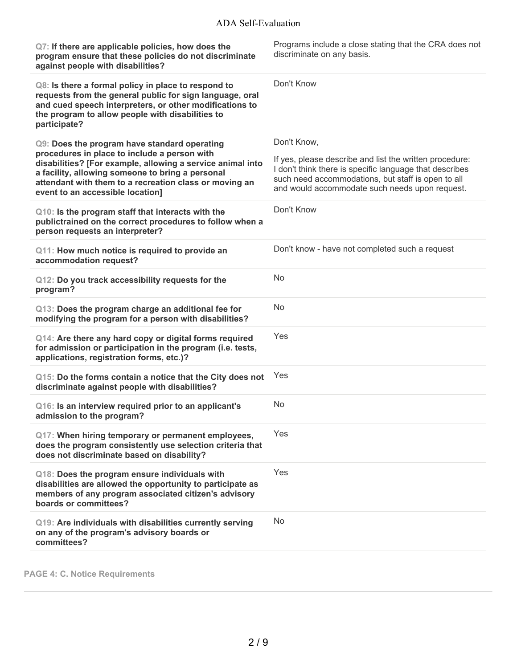| Q7: If there are applicable policies, how does the<br>program ensure that these policies do not discriminate<br>against people with disabilities?                                                                                                                                                            | Programs include a close stating that the CRA does not<br>discriminate on any basis.                                                                                                                                                      |
|--------------------------------------------------------------------------------------------------------------------------------------------------------------------------------------------------------------------------------------------------------------------------------------------------------------|-------------------------------------------------------------------------------------------------------------------------------------------------------------------------------------------------------------------------------------------|
| Q8: Is there a formal policy in place to respond to<br>requests from the general public for sign language, oral<br>and cued speech interpreters, or other modifications to<br>the program to allow people with disabilities to<br>participate?                                                               | Don't Know                                                                                                                                                                                                                                |
| Q9: Does the program have standard operating<br>procedures in place to include a person with<br>disabilities? [For example, allowing a service animal into<br>a facility, allowing someone to bring a personal<br>attendant with them to a recreation class or moving an<br>event to an accessible location] | Don't Know,<br>If yes, please describe and list the written procedure:<br>I don't think there is specific language that describes<br>such need accommodations, but staff is open to all<br>and would accommodate such needs upon request. |
| Q10: Is the program staff that interacts with the<br>publictrained on the correct procedures to follow when a<br>person requests an interpreter?                                                                                                                                                             | Don't Know                                                                                                                                                                                                                                |
| Q11: How much notice is required to provide an<br>accommodation request?                                                                                                                                                                                                                                     | Don't know - have not completed such a request                                                                                                                                                                                            |
| Q12: Do you track accessibility requests for the<br>program?                                                                                                                                                                                                                                                 | No                                                                                                                                                                                                                                        |
| Q13: Does the program charge an additional fee for<br>modifying the program for a person with disabilities?                                                                                                                                                                                                  | No                                                                                                                                                                                                                                        |
| Q14: Are there any hard copy or digital forms required<br>for admission or participation in the program (i.e. tests,<br>applications, registration forms, etc.)?                                                                                                                                             | Yes                                                                                                                                                                                                                                       |
| Q15: Do the forms contain a notice that the City does not<br>discriminate against people with disabilities?                                                                                                                                                                                                  | Yes                                                                                                                                                                                                                                       |
| Q16: Is an interview required prior to an applicant's<br>admission to the program?                                                                                                                                                                                                                           | No                                                                                                                                                                                                                                        |
| Q17: When hiring temporary or permanent employees,<br>does the program consistently use selection criteria that<br>does not discriminate based on disability?                                                                                                                                                | Yes                                                                                                                                                                                                                                       |
| Q18: Does the program ensure individuals with<br>disabilities are allowed the opportunity to participate as<br>members of any program associated citizen's advisory<br>boards or committees?                                                                                                                 | Yes                                                                                                                                                                                                                                       |
| Q19: Are individuals with disabilities currently serving<br>on any of the program's advisory boards or<br>committees?                                                                                                                                                                                        | No                                                                                                                                                                                                                                        |

**PAGE 4: C. Notice Requirements**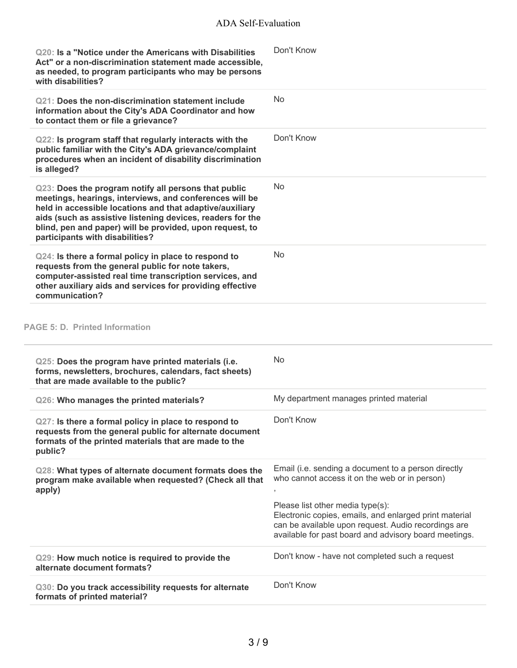| Q20: Is a "Notice under the Americans with Disabilities<br>Act" or a non-discrimination statement made accessible,<br>as needed, to program participants who may be persons<br>with disabilities?                                                                                                                                        | Don't Know                                                                                                                                                                                                 |
|------------------------------------------------------------------------------------------------------------------------------------------------------------------------------------------------------------------------------------------------------------------------------------------------------------------------------------------|------------------------------------------------------------------------------------------------------------------------------------------------------------------------------------------------------------|
| Q21: Does the non-discrimination statement include<br>information about the City's ADA Coordinator and how<br>to contact them or file a grievance?                                                                                                                                                                                       | <b>No</b>                                                                                                                                                                                                  |
| Q22: Is program staff that regularly interacts with the<br>public familiar with the City's ADA grievance/complaint<br>procedures when an incident of disability discrimination<br>is alleged?                                                                                                                                            | Don't Know                                                                                                                                                                                                 |
| Q23: Does the program notify all persons that public<br>meetings, hearings, interviews, and conferences will be<br>held in accessible locations and that adaptive/auxiliary<br>aids (such as assistive listening devices, readers for the<br>blind, pen and paper) will be provided, upon request, to<br>participants with disabilities? | No                                                                                                                                                                                                         |
| Q24: Is there a formal policy in place to respond to<br>requests from the general public for note takers,<br>computer-assisted real time transcription services, and<br>other auxiliary aids and services for providing effective<br>communication?                                                                                      | No                                                                                                                                                                                                         |
| <b>PAGE 5: D. Printed Information</b>                                                                                                                                                                                                                                                                                                    |                                                                                                                                                                                                            |
| Q25: Does the program have printed materials (i.e.<br>forms, newsletters, brochures, calendars, fact sheets)<br>that are made available to the public?                                                                                                                                                                                   | No                                                                                                                                                                                                         |
| Q26: Who manages the printed materials?                                                                                                                                                                                                                                                                                                  | My department manages printed material                                                                                                                                                                     |
| Q27: Is there a formal policy in place to respond to<br>requests from the general public for alternate document<br>formats of the printed materials that are made to the<br>public?                                                                                                                                                      | Don't Know                                                                                                                                                                                                 |
| Q28: What types of alternate document formats does the<br>program make available when requested? (Check all that<br>apply)                                                                                                                                                                                                               | Email (i.e. sending a document to a person directly<br>who cannot access it on the web or in person)                                                                                                       |
|                                                                                                                                                                                                                                                                                                                                          | Please list other media type(s):<br>Electronic copies, emails, and enlarged print material<br>can be available upon request. Audio recordings are<br>available for past board and advisory board meetings. |
| Q29: How much notice is required to provide the<br>alternate document formats?                                                                                                                                                                                                                                                           | Don't know - have not completed such a request                                                                                                                                                             |
| Q30: Do you track accessibility requests for alternate<br>formats of printed material?                                                                                                                                                                                                                                                   | Don't Know                                                                                                                                                                                                 |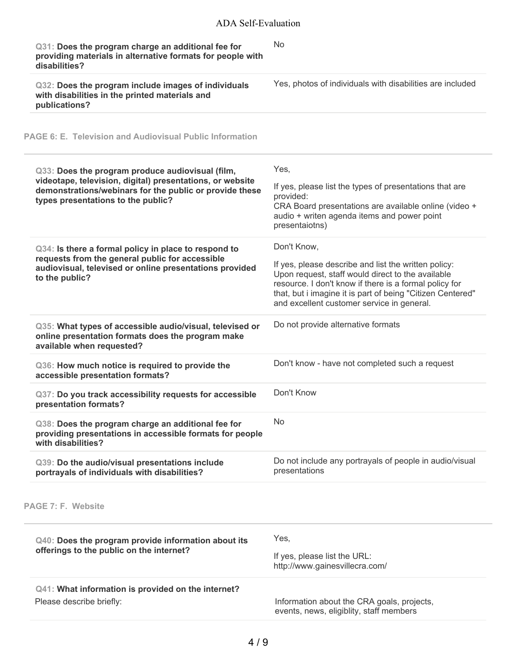| Q31: Does the program charge an additional fee for<br>providing materials in alternative formats for people with<br>disabilities?                                                                              | <b>No</b>                                                                                                                                                                                                                                                                                      |
|----------------------------------------------------------------------------------------------------------------------------------------------------------------------------------------------------------------|------------------------------------------------------------------------------------------------------------------------------------------------------------------------------------------------------------------------------------------------------------------------------------------------|
| Q32: Does the program include images of individuals<br>with disabilities in the printed materials and<br>publications?                                                                                         | Yes, photos of individuals with disabilities are included                                                                                                                                                                                                                                      |
| <b>PAGE 6: E. Television and Audiovisual Public Information</b>                                                                                                                                                |                                                                                                                                                                                                                                                                                                |
| Q33: Does the program produce audiovisual (film,<br>videotape, television, digital) presentations, or website<br>demonstrations/webinars for the public or provide these<br>types presentations to the public? | Yes,<br>If yes, please list the types of presentations that are<br>provided:<br>CRA Board presentations are available online (video +<br>audio + writen agenda items and power point<br>presentaiotns)                                                                                         |
| Q34: Is there a formal policy in place to respond to<br>requests from the general public for accessible<br>audiovisual, televised or online presentations provided<br>to the public?                           | Don't Know,<br>If yes, please describe and list the written policy:<br>Upon request, staff would direct to the available<br>resource. I don't know if there is a formal policy for<br>that, but i imagine it is part of being "Citizen Centered"<br>and excellent customer service in general. |
| Q35: What types of accessible audio/visual, televised or<br>online presentation formats does the program make<br>available when requested?                                                                     | Do not provide alternative formats                                                                                                                                                                                                                                                             |
| Q36: How much notice is required to provide the<br>accessible presentation formats?                                                                                                                            | Don't know - have not completed such a request                                                                                                                                                                                                                                                 |
| Q37: Do you track accessibility requests for accessible<br>presentation formats?                                                                                                                               | Don't Know                                                                                                                                                                                                                                                                                     |
| Q38: Does the program charge an additional fee for<br>providing presentations in accessible formats for people<br>with disabilities?                                                                           | <b>No</b>                                                                                                                                                                                                                                                                                      |
| Q39: Do the audio/visual presentations include<br>portrayals of individuals with disabilities?                                                                                                                 | Do not include any portrayals of people in audio/visual<br>presentations                                                                                                                                                                                                                       |
| PAGE 7: F. Website                                                                                                                                                                                             |                                                                                                                                                                                                                                                                                                |
| Q40: Does the program provide information about its<br>offerings to the public on the internet?                                                                                                                | Yes,<br>If yes, please list the URL:<br>http://www.gainesvillecra.com/                                                                                                                                                                                                                         |
| Q41: What information is provided on the internet?<br>Please describe briefly:                                                                                                                                 | Information about the CRA goals, projects,<br>events, news, eligiblity, staff members                                                                                                                                                                                                          |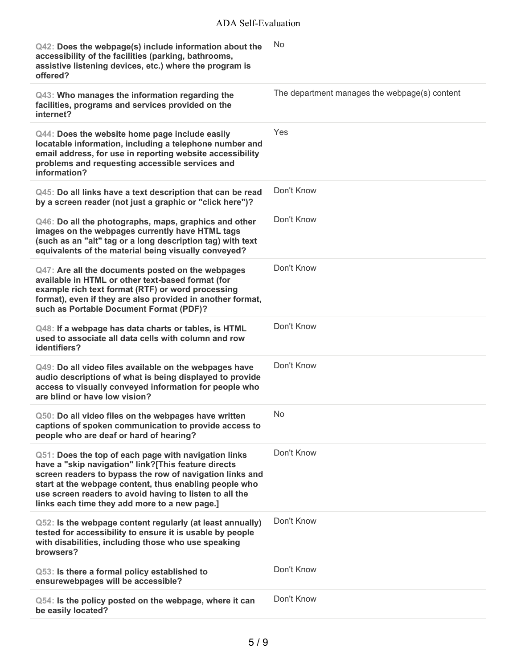| Q42: Does the webpage(s) include information about the<br>accessibility of the facilities (parking, bathrooms,<br>assistive listening devices, etc.) where the program is<br>offered?                                                                                                                                                         | No                                            |
|-----------------------------------------------------------------------------------------------------------------------------------------------------------------------------------------------------------------------------------------------------------------------------------------------------------------------------------------------|-----------------------------------------------|
| Q43: Who manages the information regarding the<br>facilities, programs and services provided on the<br>internet?                                                                                                                                                                                                                              | The department manages the webpage(s) content |
| Q44: Does the website home page include easily<br>locatable information, including a telephone number and<br>email address, for use in reporting website accessibility<br>problems and requesting accessible services and<br>information?                                                                                                     | Yes                                           |
| Q45: Do all links have a text description that can be read<br>by a screen reader (not just a graphic or "click here")?                                                                                                                                                                                                                        | Don't Know                                    |
| Q46: Do all the photographs, maps, graphics and other<br>images on the webpages currently have HTML tags<br>(such as an "alt" tag or a long description tag) with text<br>equivalents of the material being visually conveyed?                                                                                                                | Don't Know                                    |
| Q47: Are all the documents posted on the webpages<br>available in HTML or other text-based format (for<br>example rich text format (RTF) or word processing<br>format), even if they are also provided in another format,<br>such as Portable Document Format (PDF)?                                                                          | Don't Know                                    |
| Q48: If a webpage has data charts or tables, is HTML<br>used to associate all data cells with column and row<br>identifiers?                                                                                                                                                                                                                  | Don't Know                                    |
| Q49: Do all video files available on the webpages have<br>audio descriptions of what is being displayed to provide<br>access to visually conveyed information for people who<br>are blind or have low vision?                                                                                                                                 | Don't Know                                    |
| Q50: Do all video files on the webpages have written<br>captions of spoken communication to provide access to<br>people who are deaf or hard of hearing?                                                                                                                                                                                      | No                                            |
| Q51: Does the top of each page with navigation links<br>have a "skip navigation" link?[This feature directs<br>screen readers to bypass the row of navigation links and<br>start at the webpage content, thus enabling people who<br>use screen readers to avoid having to listen to all the<br>links each time they add more to a new page.] | Don't Know                                    |
| Q52: Is the webpage content regularly (at least annually)<br>tested for accessibility to ensure it is usable by people<br>with disabilities, including those who use speaking<br>browsers?                                                                                                                                                    | Don't Know                                    |
| Q53: Is there a formal policy established to<br>ensurewebpages will be accessible?                                                                                                                                                                                                                                                            | Don't Know                                    |
| Q54: Is the policy posted on the webpage, where it can<br>be easily located?                                                                                                                                                                                                                                                                  | Don't Know                                    |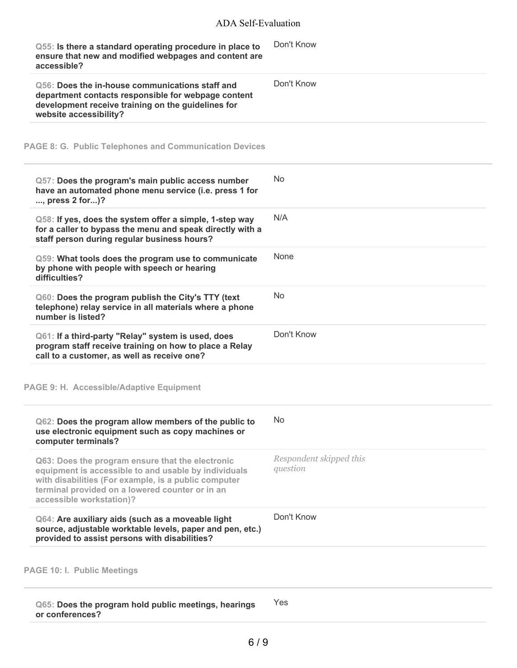| Q55: Is there a standard operating procedure in place to<br>ensure that new and modified webpages and content are<br>accessible?                                                                                                                | Don't Know                          |
|-------------------------------------------------------------------------------------------------------------------------------------------------------------------------------------------------------------------------------------------------|-------------------------------------|
| Q56: Does the in-house communications staff and<br>department contacts responsible for webpage content<br>development receive training on the guidelines for<br>website accessibility?                                                          | Don't Know                          |
| <b>PAGE 8: G. Public Telephones and Communication Devices</b>                                                                                                                                                                                   |                                     |
| Q57: Does the program's main public access number<br>have an automated phone menu service (i.e. press 1 for<br>, press 2 for)?                                                                                                                  | <b>No</b>                           |
| Q58: If yes, does the system offer a simple, 1-step way<br>for a caller to bypass the menu and speak directly with a<br>staff person during regular business hours?                                                                             | N/A                                 |
| Q59: What tools does the program use to communicate<br>by phone with people with speech or hearing<br>difficulties?                                                                                                                             | None                                |
| Q60: Does the program publish the City's TTY (text<br>telephone) relay service in all materials where a phone<br>number is listed?                                                                                                              | <b>No</b>                           |
| Q61: If a third-party "Relay" system is used, does<br>program staff receive training on how to place a Relay<br>call to a customer, as well as receive one?                                                                                     | Don't Know                          |
| <b>PAGE 9: H. Accessible/Adaptive Equipment</b>                                                                                                                                                                                                 |                                     |
| Q62: Does the program allow members of the public to<br>use electronic equipment such as copy machines or<br>computer terminals?                                                                                                                | <b>No</b>                           |
| Q63: Does the program ensure that the electronic<br>equipment is accessible to and usable by individuals<br>with disabilities (For example, is a public computer<br>terminal provided on a lowered counter or in an<br>accessible workstation)? | Respondent skipped this<br>question |
| Q64: Are auxiliary aids (such as a moveable light<br>source, adjustable worktable levels, paper and pen, etc.)<br>provided to assist persons with disabilities?                                                                                 | Don't Know                          |
| <b>PAGE 10: I. Public Meetings</b>                                                                                                                                                                                                              |                                     |
| Q65: Does the program hold public meetings, hearings<br>or conferences?                                                                                                                                                                         | Yes                                 |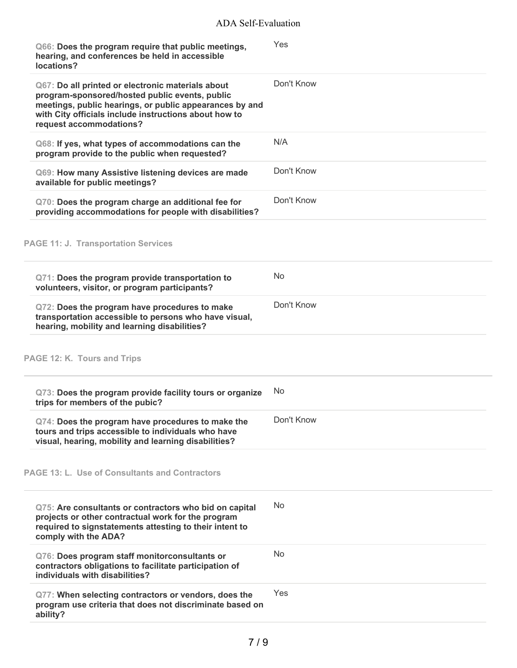| Q66: Does the program require that public meetings,<br>hearing, and conferences be held in accessible<br>locations?                                                                                                                                | Yes            |
|----------------------------------------------------------------------------------------------------------------------------------------------------------------------------------------------------------------------------------------------------|----------------|
| Q67: Do all printed or electronic materials about<br>program-sponsored/hosted public events, public<br>meetings, public hearings, or public appearances by and<br>with City officials include instructions about how to<br>request accommodations? | Don't Know     |
| Q68: If yes, what types of accommodations can the<br>program provide to the public when requested?                                                                                                                                                 | N/A            |
| Q69: How many Assistive listening devices are made<br>available for public meetings?                                                                                                                                                               | Don't Know     |
| Q70: Does the program charge an additional fee for<br>providing accommodations for people with disabilities?                                                                                                                                       | Don't Know     |
| <b>PAGE 11: J. Transportation Services</b>                                                                                                                                                                                                         |                |
| Q71: Does the program provide transportation to<br>volunteers, visitor, or program participants?                                                                                                                                                   | <b>No</b>      |
| Q72: Does the program have procedures to make<br>transportation accessible to persons who have visual,<br>hearing, mobility and learning disabilities?                                                                                             | Don't Know     |
| PAGE 12: K. Tours and Trips                                                                                                                                                                                                                        |                |
| Q73: Does the program provide facility tours or organize<br>trips for members of the pubic?                                                                                                                                                        | No.            |
| Q74: Does the program have procedures to make the<br>tours and trips accessible to individuals who have<br>visual, hearing, mobility and learning disabilities?                                                                                    | Don't Know     |
| PAGE 13: L. Use of Consultants and Contractors                                                                                                                                                                                                     |                |
| Q75: Are consultants or contractors who bid on capital<br>projects or other contractual work for the program<br>required to signstatements attesting to their intent to<br>comply with the ADA?                                                    | N <sub>o</sub> |
| Q76: Does program staff monitorconsultants or<br>contractors obligations to facilitate participation of<br>individuals with disabilities?                                                                                                          | <b>No</b>      |
| Q77: When selecting contractors or vendors, does the<br>program use criteria that does not discriminate based on<br>ability?                                                                                                                       | Yes            |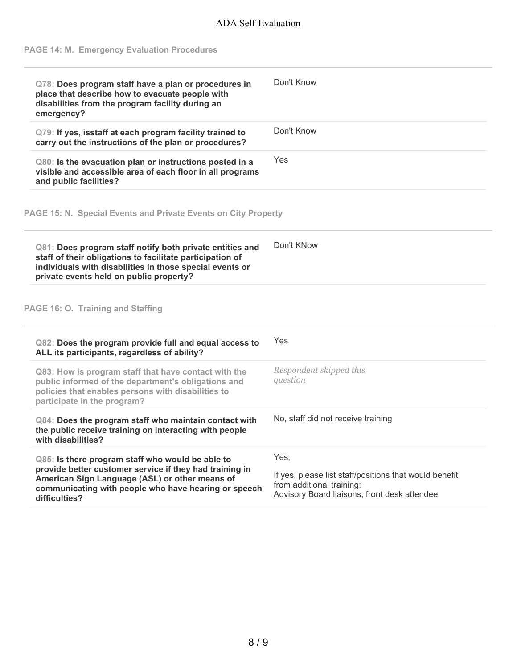# **PAGE 14: M. Emergency Evaluation Procedures**

| Q78: Does program staff have a plan or procedures in<br>place that describe how to evacuate people with<br>disabilities from the program facility during an<br>emergency?                                                    | Don't Know                                                                                                                          |
|------------------------------------------------------------------------------------------------------------------------------------------------------------------------------------------------------------------------------|-------------------------------------------------------------------------------------------------------------------------------------|
| Q79: If yes, isstaff at each program facility trained to<br>carry out the instructions of the plan or procedures?                                                                                                            | Don't Know                                                                                                                          |
| Q80: Is the evacuation plan or instructions posted in a<br>visible and accessible area of each floor in all programs<br>and public facilities?                                                                               | Yes                                                                                                                                 |
| PAGE 15: N. Special Events and Private Events on City Property                                                                                                                                                               |                                                                                                                                     |
| Q81: Does program staff notify both private entities and<br>staff of their obligations to facilitate participation of<br>individuals with disabilities in those special events or<br>private events held on public property? | Don't KNow                                                                                                                          |
| PAGE 16: O. Training and Staffing                                                                                                                                                                                            |                                                                                                                                     |
| Q82: Does the program provide full and equal access to<br>ALL its participants, regardless of ability?                                                                                                                       | Yes                                                                                                                                 |
| Q83: How is program staff that have contact with the<br>public informed of the department's obligations and<br>policies that enables persons with disabilities to<br>participate in the program?                             | Respondent skipped this<br>question                                                                                                 |
| Q84: Does the program staff who maintain contact with<br>the public receive training on interacting with people<br>with disabilities?                                                                                        | No, staff did not receive training                                                                                                  |
| Q85: Is there program staff who would be able to                                                                                                                                                                             | Yes,                                                                                                                                |
| provide better customer service if they had training in<br>American Sign Language (ASL) or other means of<br>communicating with people who have hearing or speech<br>difficulties?                                           | If yes, please list staff/positions that would benefit<br>from additional training:<br>Advisory Board liaisons, front desk attendee |